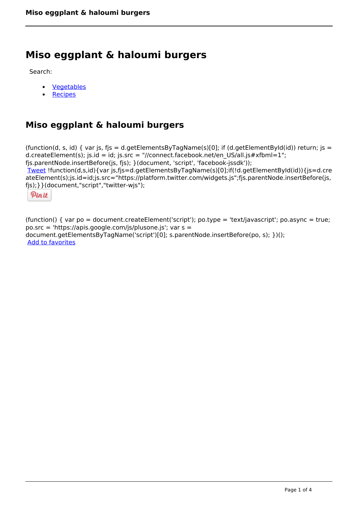# **Miso eggplant & haloumi burgers**

Search:

- **[Vegetables](https://www.naturalhealthmag.com.au/nourish/veg)**  $\bullet$
- **[Recipes](https://www.naturalhealthmag.com.au/nourish/recipes)**

# **Miso eggplant & haloumi burgers**

(function(d, s, id) { var js, fjs = d.getElementsByTagName(s)[0]; if (d.getElementById(id)) return; js = d.createElement(s); js.id = id; js.src = "//connect.facebook.net/en\_US/all.js#xfbml=1"; fjs.parentNode.insertBefore(js, fjs); }(document, 'script', 'facebook-jssdk')); [Tweet](https://twitter.com/share) !function(d,s,id){var js,fjs=d.getElementsByTagName(s)[0];if(!d.getElementById(id)){js=d.cre ateElement(s);js.id=id;js.src="https://platform.twitter.com/widgets.js";fjs.parentNode.insertBefore(js, fjs);}}(document,"script","twitter-wjs");

Pinit

(function() { var po = document.createElement('script'); po.type = 'text/javascript'; po.async = true; po.src = 'https://apis.google.com/js/plusone.js'; var s = document.getElementsByTagName('script')[0]; s.parentNode.insertBefore(po, s); })(); Add to favorites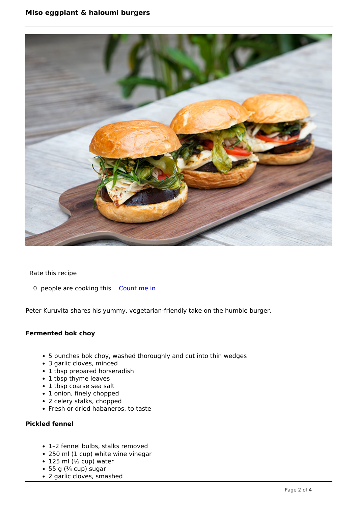

Rate this recipe

0 people are cooking this [Count me in](https://www.naturalhealthmag.com.au/flag/flag/favorites/2232?destination=printpdf%2F2232&token=dd855639333598c1c50c6382a1c3f4db)

Peter Kuruvita shares his yummy, vegetarian-friendly take on the humble burger.

## **Fermented bok choy**

- 5 bunches bok choy, washed thoroughly and cut into thin wedges
- 3 garlic cloves, minced
- 1 tbsp prepared horseradish
- 1 tbsp thyme leaves
- 1 tbsp coarse sea salt
- 1 onion, finely chopped
- 2 celery stalks, chopped
- Fresh or dried habaneros, to taste

# **Pickled fennel**

- 1–2 fennel bulbs, stalks removed
- 250 ml (1 cup) white wine vinegar
- $\bullet$  125 ml ( $\frac{1}{2}$  cup) water
- $\bullet$  55 g ( $\frac{1}{4}$  cup) sugar
- 2 garlic cloves, smashed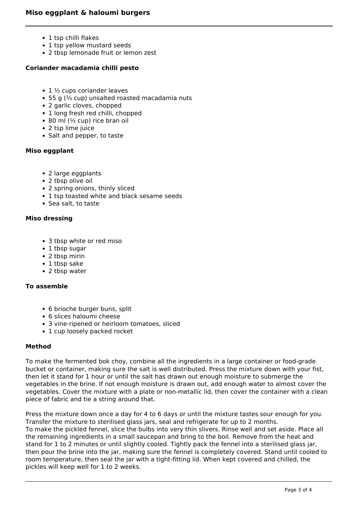- 1 tsp chilli flakes
- 1 tsp yellow mustard seeds
- 2 tbsp lemonade fruit or lemon zest

#### **Coriander macadamia chilli pesto**

- 1 ½ cups coriander leaves
- 55 g (⅓ cup) unsalted roasted macadamia nuts
- 2 garlic cloves, chopped
- 1 long fresh red chilli, chopped
- 80 ml (⅓ cup) rice bran oil
- 2 tsp lime juice
- Salt and pepper, to taste

#### **Miso eggplant**

- 2 large eggplants
- 2 tbsp olive oil
- 2 spring onions, thinly sliced
- 1 tsp toasted white and black sesame seeds
- Sea salt, to taste

#### **Miso dressing**

- 3 tbsp white or red miso
- 1 tbsp sugar
- 2 tbsp mirin
- 1 tbsp sake
- 2 tbsp water

#### **To assemble**

- 6 brioche burger buns, split
- 6 slices haloumi cheese
- 3 vine-ripened or heirloom tomatoes, sliced
- 1 cup loosely packed rocket

## **Method**

To make the fermented bok choy, combine all the ingredients in a large container or food-grade bucket or container, making sure the salt is well distributed. Press the mixture down with your fist, then let it stand for 1 hour or until the salt has drawn out enough moisture to submerge the vegetables in the brine. If not enough moisture is drawn out, add enough water to almost cover the vegetables. Cover the mixture with a plate or non-metallic lid, then cover the container with a clean piece of fabric and tie a string around that.

Press the mixture down once a day for 4 to 6 days or until the mixture tastes sour enough for you. Transfer the mixture to sterilised glass jars, seal and refrigerate for up to 2 months. To make the pickled fennel, slice the bulbs into very thin slivers. Rinse well and set aside. Place all the remaining ingredients in a small saucepan and bring to the boil. Remove from the heat and stand for 1 to 2 minutes or until slightly cooled. Tightly pack the fennel into a sterilised glass jar, then pour the brine into the jar, making sure the fennel is completely covered. Stand until cooled to room temperature, then seal the jar with a tight-fitting lid. When kept covered and chilled, the pickles will keep well for 1 to 2 weeks.